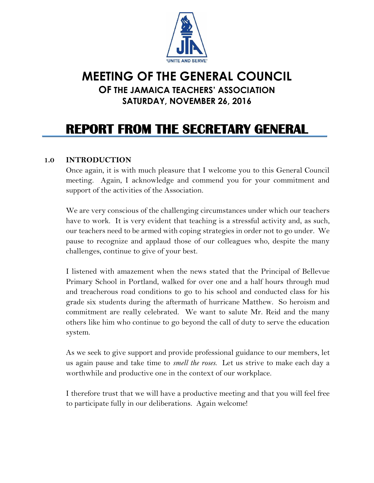

# **MEETING OF THE GENERAL COUNCIL OF THE JAMAICA TEACHERS' ASSOCIATION SATURDAY, NOVEMBER 26, 2016**

# **REPORT FROM THE SECRETARY GENERAL**

#### **1.0 INTRODUCTION**

Once again, it is with much pleasure that I welcome you to this General Council meeting. Again, I acknowledge and commend you for your commitment and support of the activities of the Association.

We are very conscious of the challenging circumstances under which our teachers have to work. It is very evident that teaching is a stressful activity and, as such, our teachers need to be armed with coping strategies in order not to go under. We pause to recognize and applaud those of our colleagues who, despite the many challenges, continue to give of your best.

I listened with amazement when the news stated that the Principal of Bellevue Primary School in Portland, walked for over one and a half hours through mud and treacherous road conditions to go to his school and conducted class for his grade six students during the aftermath of hurricane Matthew. So heroism and commitment are really celebrated. We want to salute Mr. Reid and the many others like him who continue to go beyond the call of duty to serve the education system.

As we seek to give support and provide professional guidance to our members, let us again pause and take time to *smell the roses*. Let us strive to make each day a worthwhile and productive one in the context of our workplace.

I therefore trust that we will have a productive meeting and that you will feel free to participate fully in our deliberations. Again welcome!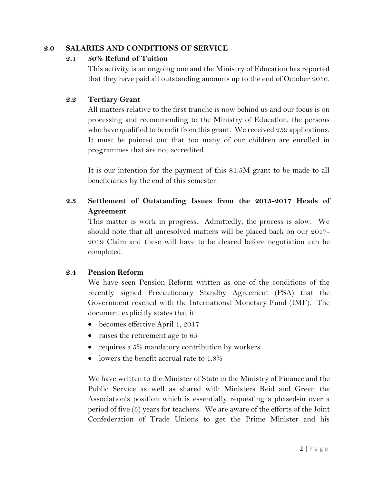#### **2.0 SALARIES AND CONDITIONS OF SERVICE**

#### **2.1 50% Refund of Tuition**

This activity is an ongoing one and the Ministry of Education has reported that they have paid all outstanding amounts up to the end of October 2016.

#### **2.2 Tertiary Grant**

All matters relative to the first tranche is now behind us and our focus is on processing and recommending to the Ministry of Education, the persons who have qualified to benefit from this grant. We received 259 applications. It must be pointed out that too many of our children are enrolled in programmes that are not accredited.

It is our intention for the payment of this \$1.5M grant to be made to all beneficiaries by the end of this semester.

# **2.3 Settlement of Outstanding Issues from the 2015-2017 Heads of Agreement**

This matter is work in progress. Admittedly, the process is slow. We should note that all unresolved matters will be placed back on our 2017- 2019 Claim and these will have to be cleared before negotiation can be completed.

#### **2.4 Pension Reform**

We have seen Pension Reform written as one of the conditions of the recently signed Precautionary Standby Agreement (PSA) that the Government reached with the International Monetary Fund (IMF). The document explicitly states that it:

- becomes effective April 1, 2017
- raises the retirement age to  $65$
- requires a  $5\%$  mandatory contribution by workers
- $\bullet$  lowers the benefit accrual rate to 1.8%

We have written to the Minister of State in the Ministry of Finance and the Public Service as well as shared with Ministers Reid and Green the Association's position which is essentially requesting a phased-in over a period of five (5) years for teachers. We are aware of the efforts of the Joint Confederation of Trade Unions to get the Prime Minister and his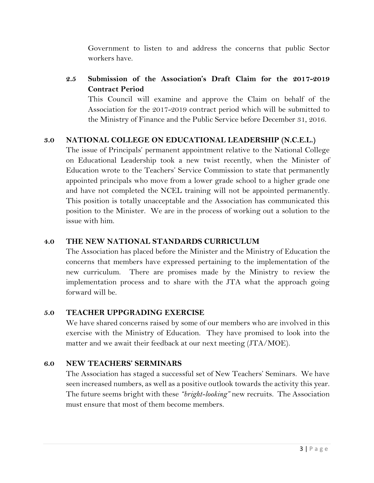Government to listen to and address the concerns that public Sector workers have.

# **2.5 Submission of the Association's Draft Claim for the 2017-2019 Contract Period**

This Council will examine and approve the Claim on behalf of the Association for the 2017-2019 contract period which will be submitted to the Ministry of Finance and the Public Service before December 31, 2016.

#### **3.0 NATIONAL COLLEGE ON EDUCATIONAL LEADERSHIP (N.C.E.L.)**

The issue of Principals' permanent appointment relative to the National College on Educational Leadership took a new twist recently, when the Minister of Education wrote to the Teachers' Service Commission to state that permanently appointed principals who move from a lower grade school to a higher grade one and have not completed the NCEL training will not be appointed permanently. This position is totally unacceptable and the Association has communicated this position to the Minister. We are in the process of working out a solution to the issue with him.

#### **4.0 THE NEW NATIONAL STANDARDS CURRICULUM**

The Association has placed before the Minister and the Ministry of Education the concerns that members have expressed pertaining to the implementation of the new curriculum. There are promises made by the Ministry to review the implementation process and to share with the JTA what the approach going forward will be.

#### **5.0 TEACHER UPPGRADING EXERCISE**

We have shared concerns raised by some of our members who are involved in this exercise with the Ministry of Education. They have promised to look into the matter and we await their feedback at our next meeting (JTA/MOE).

#### **6.0 NEW TEACHERS' SERMINARS**

The Association has staged a successful set of New Teachers' Seminars. We have seen increased numbers, as well as a positive outlook towards the activity this year. The future seems bright with these *"bright-looking"* new recruits. The Association must ensure that most of them become members.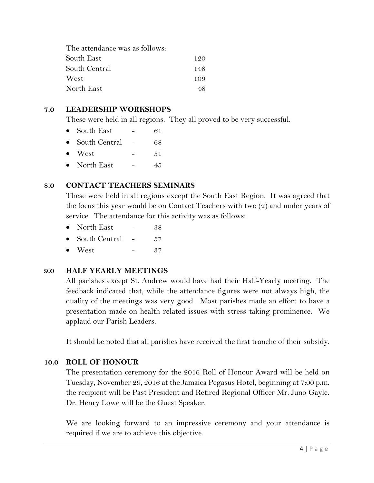| The attendance was as follows: |     |
|--------------------------------|-----|
| South East                     | 120 |
| South Central                  | 148 |
| West                           | 109 |
| North East                     | 48  |

#### **7.0 LEADERSHIP WORKSHOPS**

These were held in all regions. They all proved to be very successful.

| $\bullet$ | South East     | 61  |
|-----------|----------------|-----|
| $\bullet$ | South Central  | 68  |
|           | $\bullet$ West | .51 |
|           | • North East   | 45  |

#### **8.0 CONTACT TEACHERS SEMINARS**

These were held in all regions except the South East Region. It was agreed that the focus this year would be on Contact Teachers with two (2) and under years of service. The attendance for this activity was as follows:

| $\bullet$ | North East            | 38 |
|-----------|-----------------------|----|
|           | $\mathbf{1}$ $\alpha$ |    |

South Central - 57  $\bullet$  West  $-37$ 

# **9.0 HALF YEARLY MEETINGS**

All parishes except St. Andrew would have had their Half-Yearly meeting. The feedback indicated that, while the attendance figures were not always high, the quality of the meetings was very good. Most parishes made an effort to have a presentation made on health-related issues with stress taking prominence. We applaud our Parish Leaders.

It should be noted that all parishes have received the first tranche of their subsidy.

#### **10.0 ROLL OF HONOUR**

The presentation ceremony for the 2016 Roll of Honour Award will be held on Tuesday, November 29, 2016 at the Jamaica Pegasus Hotel, beginning at 7:00 p.m. the recipient will be Past President and Retired Regional Officer Mr. Juno Gayle. Dr. Henry Lowe will be the Guest Speaker.

We are looking forward to an impressive ceremony and your attendance is required if we are to achieve this objective.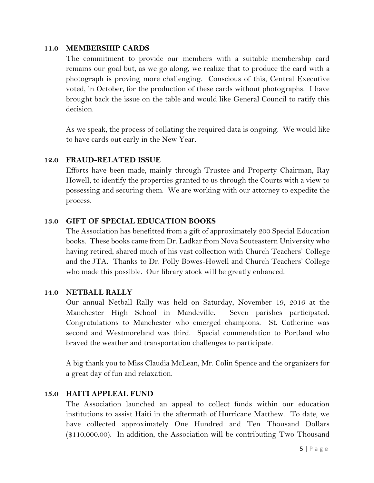#### **11.0 MEMBERSHIP CARDS**

The commitment to provide our members with a suitable membership card remains our goal but, as we go along, we realize that to produce the card with a photograph is proving more challenging. Conscious of this, Central Executive voted, in October, for the production of these cards without photographs. I have brought back the issue on the table and would like General Council to ratify this decision.

As we speak, the process of collating the required data is ongoing. We would like to have cards out early in the New Year.

#### **12.0 FRAUD-RELATED ISSUE**

Efforts have been made, mainly through Trustee and Property Chairman, Ray Howell, to identify the properties granted to us through the Courts with a view to possessing and securing them. We are working with our attorney to expedite the process.

#### **13.0 GIFT OF SPECIAL EDUCATION BOOKS**

The Association has benefitted from a gift of approximately 200 Special Education books. These books came from Dr. Ladkar from Nova Souteastern University who having retired, shared much of his vast collection with Church Teachers' College and the JTA. Thanks to Dr. Polly Bowes-Howell and Church Teachers' College who made this possible. Our library stock will be greatly enhanced.

#### **14.0 NETBALL RALLY**

Our annual Netball Rally was held on Saturday, November 19, 2016 at the Manchester High School in Mandeville. Seven parishes participated. Congratulations to Manchester who emerged champions. St. Catherine was second and Westmoreland was third. Special commendation to Portland who braved the weather and transportation challenges to participate.

A big thank you to Miss Claudia McLean, Mr. Colin Spence and the organizers for a great day of fun and relaxation.

#### **15.0 HAITI APPLEAL FUND**

The Association launched an appeal to collect funds within our education institutions to assist Haiti in the aftermath of Hurricane Matthew. To date, we have collected approximately One Hundred and Ten Thousand Dollars (\$110,000.00). In addition, the Association will be contributing Two Thousand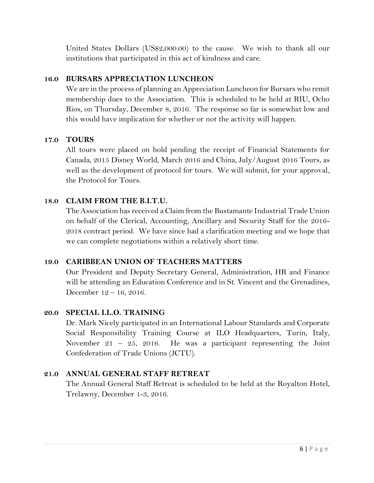United States Dollars (US\$2,000.00) to the cause. We wish to thank all our institutions that participated in this act of kindness and care.

# **16.0 BURSARS APPRECIATION LUNCHEON**

We are in the process of planning an Appreciation Luncheon for Bursars who remit membership dues to the Association. This is scheduled to be held at RIU, Ocho Rios, on Thursday, December 8, 2016. The response so far is somewhat low and this would have implication for whether or not the activity will happen.

# **17.0 TOURS**

All tours were placed on hold pending the receipt of Financial Statements for Canada, 2015 Disney World, March 2016 and China, July/August 2016 Tours, as well as the development of protocol for tours. We will submit, for your approval, the Protocol for Tours.

# **18.0 CLAIM FROM THE B.I.T.U.**

The Association has received a Claim from the Bustamante Industrial Trade Union on behalf of the Clerical, Accounting, Ancillary and Security Staff for the 2016- 2018 contract period. We have since had a clarification meeting and we hope that we can complete negotiations within a relatively short time.

# **19.0 CARIBBEAN UNION OF TEACHERS MATTERS**

Our President and Deputy Secretary General, Administration, HR and Finance will be attending an Education Conference and in St. Vincent and the Grenadines, December 12 – 16, 2016.

# **20.0 SPECIAL I.L.O. TRAINING**

Dr. Mark Nicely participated in an International Labour Standards and Corporate Social Responsibility Training Course at ILO Headquarters, Turin, Italy, November 21 – 25, 2016. He was a participant representing the Joint Confederation of Trade Unions (JCTU).

# **21.0 ANNUAL GENERAL STAFF RETREAT**

The Annual General Staff Retreat is scheduled to be held at the Royalton Hotel, Trelawny, December 1-3, 2016.